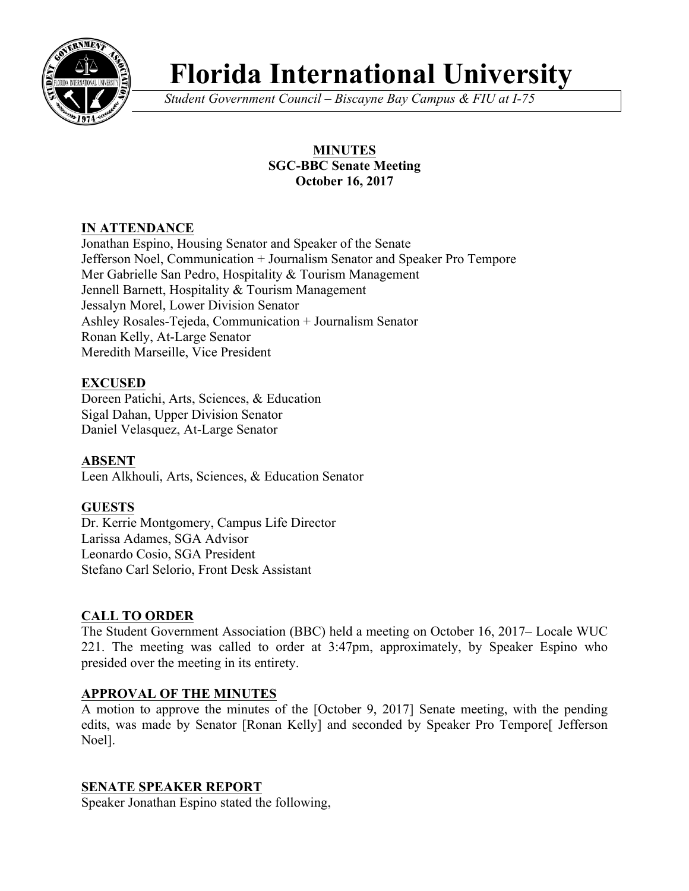

# **Florida International University**

*Student Government Council – Biscayne Bay Campus & FIU at I-75*

## **MINUTES SGC-BBC Senate Meeting October 16, 2017**

# **IN ATTENDANCE**

Jonathan Espino, Housing Senator and Speaker of the Senate Jefferson Noel, Communication + Journalism Senator and Speaker Pro Tempore Mer Gabrielle San Pedro, Hospitality & Tourism Management Jennell Barnett, Hospitality & Tourism Management Jessalyn Morel, Lower Division Senator Ashley Rosales-Tejeda, Communication + Journalism Senator Ronan Kelly, At-Large Senator Meredith Marseille, Vice President

# **EXCUSED**

Doreen Patichi, Arts, Sciences, & Education Sigal Dahan, Upper Division Senator Daniel Velasquez, At-Large Senator

## **ABSENT**

Leen Alkhouli, Arts, Sciences, & Education Senator

## **GUESTS**

Dr. Kerrie Montgomery, Campus Life Director Larissa Adames, SGA Advisor Leonardo Cosio, SGA President Stefano Carl Selorio, Front Desk Assistant

## **CALL TO ORDER**

The Student Government Association (BBC) held a meeting on October 16, 2017– Locale WUC 221. The meeting was called to order at 3:47pm, approximately, by Speaker Espino who presided over the meeting in its entirety.

## **APPROVAL OF THE MINUTES**

A motion to approve the minutes of the [October 9, 2017] Senate meeting, with the pending edits, was made by Senator [Ronan Kelly] and seconded by Speaker Pro Tempore[ Jefferson Noel].

## **SENATE SPEAKER REPORT**

Speaker Jonathan Espino stated the following,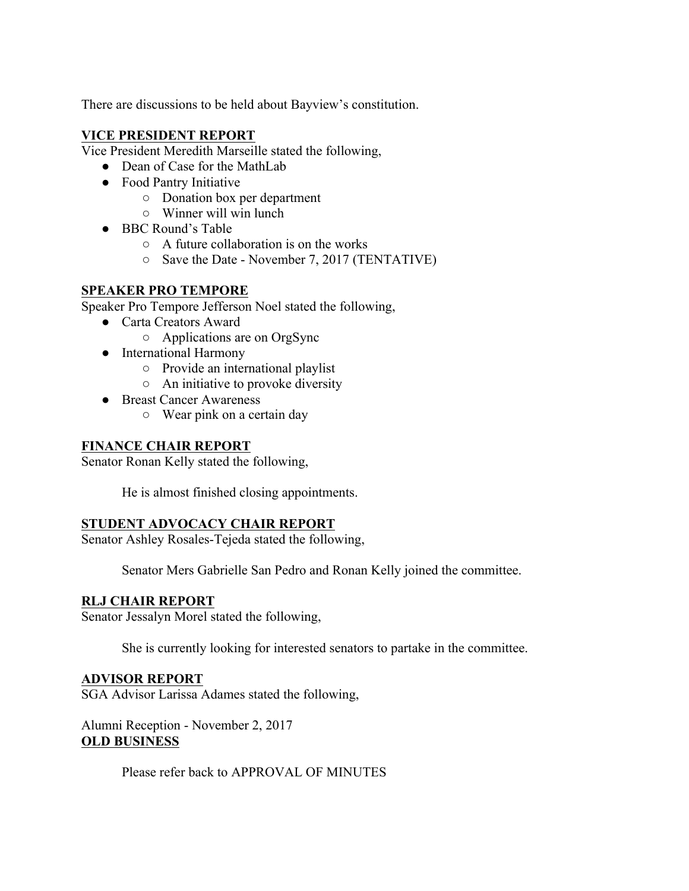There are discussions to be held about Bayview's constitution.

## **VICE PRESIDENT REPORT**

Vice President Meredith Marseille stated the following,

- Dean of Case for the MathLab
- Food Pantry Initiative
	- Donation box per department
	- Winner will win lunch
- BBC Round's Table
	- A future collaboration is on the works
	- Save the Date November 7, 2017 (TENTATIVE)

## **SPEAKER PRO TEMPORE**

Speaker Pro Tempore Jefferson Noel stated the following,

- Carta Creators Award
	- Applications are on OrgSync
- International Harmony
	- Provide an international playlist
	- An initiative to provoke diversity
- Breast Cancer Awareness
	- Wear pink on a certain day

## **FINANCE CHAIR REPORT**

Senator Ronan Kelly stated the following,

He is almost finished closing appointments.

## **STUDENT ADVOCACY CHAIR REPORT**

Senator Ashley Rosales-Tejeda stated the following,

Senator Mers Gabrielle San Pedro and Ronan Kelly joined the committee.

## **RLJ CHAIR REPORT**

Senator Jessalyn Morel stated the following,

She is currently looking for interested senators to partake in the committee.

## **ADVISOR REPORT**

SGA Advisor Larissa Adames stated the following,

Alumni Reception - November 2, 2017 **OLD BUSINESS**

Please refer back to APPROVAL OF MINUTES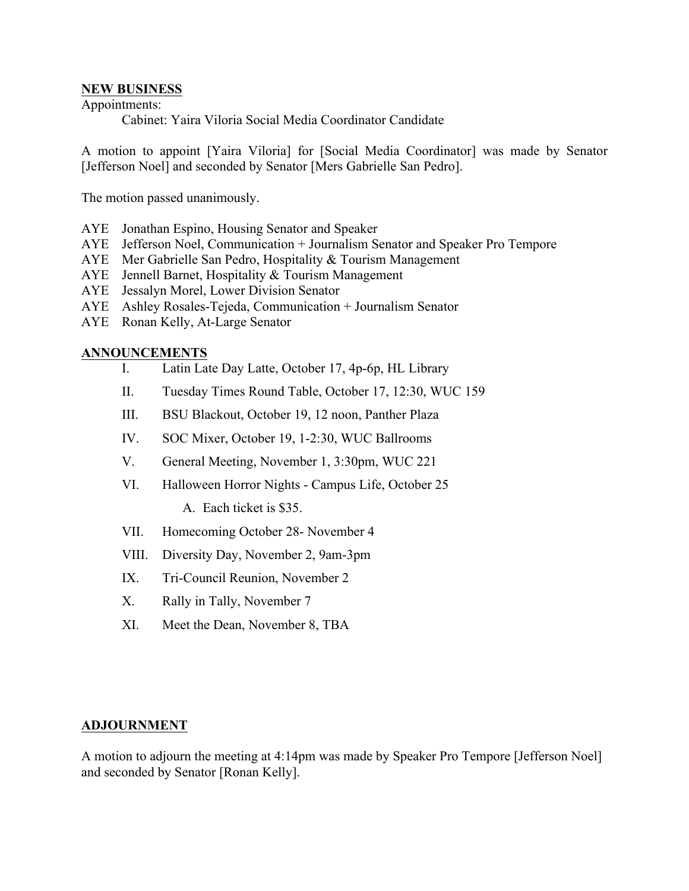#### **NEW BUSINESS**

Appointments:

Cabinet: Yaira Viloria Social Media Coordinator Candidate

A motion to appoint [Yaira Viloria] for [Social Media Coordinator] was made by Senator [Jefferson Noel] and seconded by Senator [Mers Gabrielle San Pedro].

The motion passed unanimously.

- AYE Jonathan Espino, Housing Senator and Speaker
- AYE Jefferson Noel, Communication + Journalism Senator and Speaker Pro Tempore
- AYE Mer Gabrielle San Pedro, Hospitality & Tourism Management
- AYE Jennell Barnet, Hospitality & Tourism Management
- AYE Jessalyn Morel, Lower Division Senator
- AYE Ashley Rosales-Tejeda, Communication + Journalism Senator
- AYE Ronan Kelly, At-Large Senator

#### **ANNOUNCEMENTS**

- I. Latin Late Day Latte, October 17, 4p-6p, HL Library
- II. Tuesday Times Round Table, October 17, 12:30, WUC 159
- III. BSU Blackout, October 19, 12 noon, Panther Plaza
- IV. SOC Mixer, October 19, 1-2:30, WUC Ballrooms
- V. General Meeting, November 1, 3:30pm, WUC 221
- VI. Halloween Horror Nights Campus Life, October 25

A. Each ticket is \$35.

- VII. Homecoming October 28- November 4
- VIII. Diversity Day, November 2, 9am-3pm
- IX. Tri-Council Reunion, November 2
- X. Rally in Tally, November 7
- XI. Meet the Dean, November 8, TBA

#### **ADJOURNMENT**

A motion to adjourn the meeting at 4:14pm was made by Speaker Pro Tempore [Jefferson Noel] and seconded by Senator [Ronan Kelly].